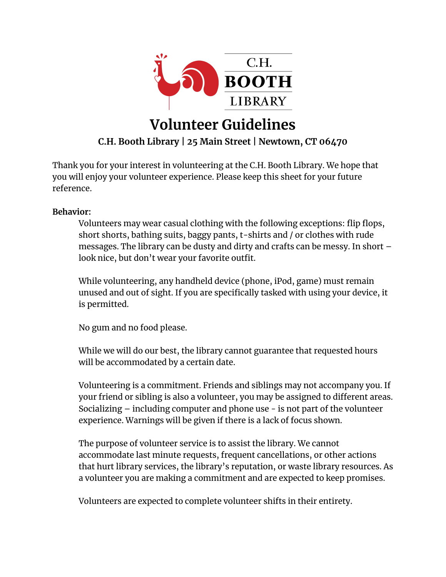

# **Volunteer Guidelines**

# **C.H. Booth Library | 25 Main Street | Newtown, CT 06470**

Thank you for your interest in volunteering at the C.H. Booth Library. We hope that you will enjoy your volunteer experience. Please keep this sheet for your future reference.

## **Behavior:**

Volunteers may wear casual clothing with the following exceptions: flip flops, short shorts, bathing suits, baggy pants, t-shirts and / or clothes with rude messages. The library can be dusty and dirty and crafts can be messy. In short – look nice, but don't wear your favorite outfit.

While volunteering, any handheld device (phone, iPod, game) must remain unused and out of sight. If you are specifically tasked with using your device, it is permitted.

No gum and no food please.

While we will do our best, the library cannot guarantee that requested hours will be accommodated by a certain date.

Volunteering is a commitment. Friends and siblings may not accompany you. If your friend or sibling is also a volunteer, you may be assigned to different areas. Socializing – including computer and phone use - is not part of the volunteer experience. Warnings will be given if there is a lack of focus shown.

The purpose of volunteer service is to assist the library. We cannot accommodate last minute requests, frequent cancellations, or other actions that hurt library services, the library's reputation, or waste library resources. As a volunteer you are making a commitment and are expected to keep promises.

Volunteers are expected to complete volunteer shifts in their entirety.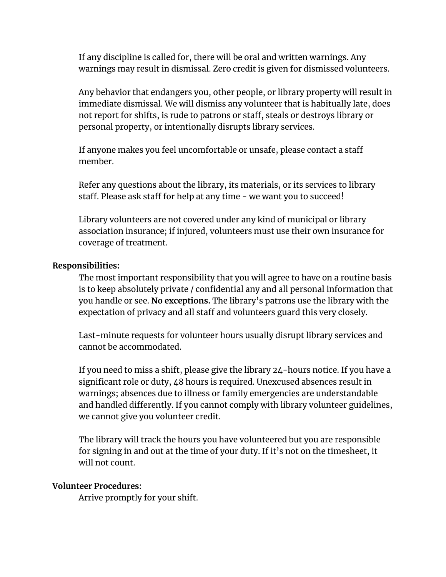If any discipline is called for, there will be oral and written warnings. Any warnings may result in dismissal. Zero credit is given for dismissed volunteers.

Any behavior that endangers you, other people, or library property will result in immediate dismissal. We will dismiss any volunteer that is habitually late, does not report for shifts, is rude to patrons or staff, steals or destroys library or personal property, or intentionally disrupts library services.

If anyone makes you feel uncomfortable or unsafe, please contact a staff member.

Refer any questions about the library, its materials, or its services to library staff. Please ask staff for help at any time - we want you to succeed!

Library volunteers are not covered under any kind of municipal or library association insurance; if injured, volunteers must use their own insurance for coverage of treatment.

### **Responsibilities:**

The most important responsibility that you will agree to have on a routine basis is to keep absolutely private / confidential any and all personal information that you handle or see. **No exceptions.** The library's patrons use the library with the expectation of privacy and all staff and volunteers guard this very closely.

Last-minute requests for volunteer hours usually disrupt library services and cannot be accommodated.

If you need to miss a shift, please give the library 24-hours notice. If you have a significant role or duty, 48 hours is required. Unexcused absences result in warnings; absences due to illness or family emergencies are understandable and handled differently. If you cannot comply with library volunteer guidelines, we cannot give you volunteer credit.

The library will track the hours you have volunteered but you are responsible for signing in and out at the time of your duty. If it's not on the timesheet, it will not count.

### **Volunteer Procedures:**

Arrive promptly for your shift.